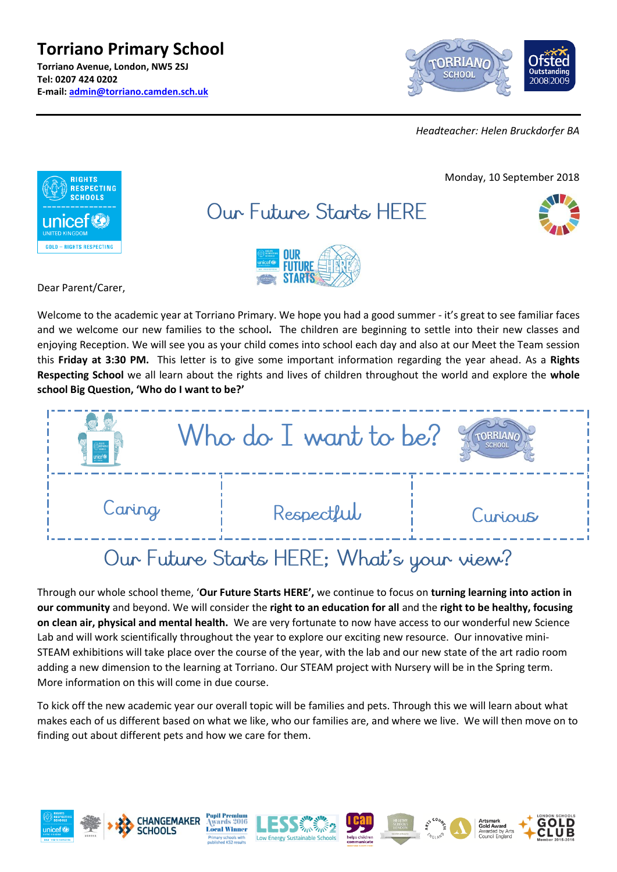**Torriano Primary School Torriano Avenue, London, NW5 2SJ Tel: 0207 424 0202 E-mail: [admin@torriano.camden.sch.uk](mailto:admin@torriano.camden.sch.uk)**



*Headteacher: Helen Bruckdorfer BA*



Welcome to the academic year at Torriano Primary. We hope you had a good summer - it's great to see familiar faces and we welcome our new families to the school**.** The children are beginning to settle into their new classes and enjoying Reception. We will see you as your child comes into school each day and also at our Meet the Team session this **Friday at 3:30 PM.** This letter is to give some important information regarding the year ahead. As a **Rights Respecting School** we all learn about the rights and lives of children throughout the world and explore the **whole school Big Question, 'Who do I want to be?'**

|        | Who do I want to be?                                                                                                                                                                                                                                                                                                                        | <b>SCHOO</b> |
|--------|---------------------------------------------------------------------------------------------------------------------------------------------------------------------------------------------------------------------------------------------------------------------------------------------------------------------------------------------|--------------|
| Caring | Respectful                                                                                                                                                                                                                                                                                                                                  | Curious      |
|        | $C_{1}$ $\qquad$ $\qquad$ $\qquad$ $\qquad$ $\qquad$ $\qquad$ $\qquad$ $\qquad$ $\qquad$ $\qquad$ $\qquad$ $\qquad$ $\qquad$ $\qquad$ $\qquad$ $\qquad$ $\qquad$ $\qquad$ $\qquad$ $\qquad$ $\qquad$ $\qquad$ $\qquad$ $\qquad$ $\qquad$ $\qquad$ $\qquad$ $\qquad$ $\qquad$ $\qquad$ $\qquad$ $\qquad$ $\qquad$ $\qquad$ $\qquad$ $\qquad$ |              |

# Our Future Starts HERE; What's your view?

Through our whole school theme, '**Our Future Starts HERE',** we continue to focus on **turning learning into action in our community** and beyond. We will consider the **right to an education for all** and the **right to be healthy, focusing on clean air, physical and mental health.** We are very fortunate to now have access to our wonderful new Science Lab and will work scientifically throughout the year to explore our exciting new resource. Our innovative mini-STEAM exhibitions will take place over the course of the year, with the lab and our new state of the art radio room adding a new dimension to the learning at Torriano. Our STEAM project with Nursery will be in the Spring term. More information on this will come in due course.

To kick off the new academic year our overall topic will be families and pets. Through this we will learn about what makes each of us different based on what we like, who our families are, and where we live. We will then move on to finding out about different pets and how we care for them.

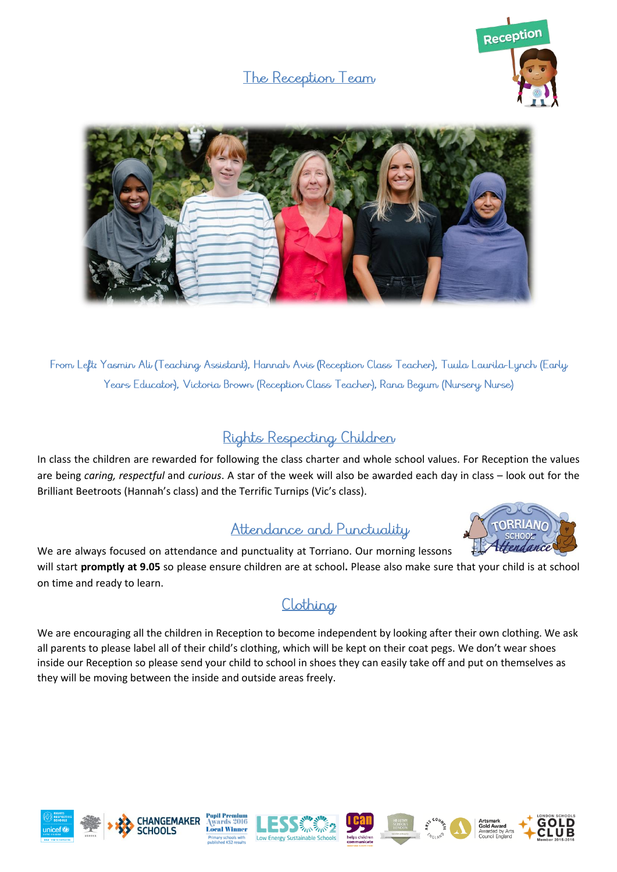## The Reception Team





From Left: Yasmin Ali (Teaching Assistant), Hannah Avis (Reception Class Teacher), Tuula Laurila-Lynch (Early Years Educator), Victoria Brown (Reception Class Teacher), Rana Begum (Nursery Nurse)

## Rights Respecting Children

In class the children are rewarded for following the class charter and whole school values. For Reception the values are being *caring, respectful* and *curious*. A star of the week will also be awarded each day in class – look out for the Brilliant Beetroots (Hannah's class) and the Terrific Turnips (Vic's class).

### Attendance and Punctuality



We are always focused on attendance and punctuality at Torriano. Our morning lessons will start **promptly at 9.05** so please ensure children are at school**.** Please also make sure that your child is at school on time and ready to learn.

# Clothing

We are encouraging all the children in Reception to become independent by looking after their own clothing. We ask all parents to please label all of their child's clothing, which will be kept on their coat pegs. We don't wear shoes inside our Reception so please send your child to school in shoes they can easily take off and put on themselves as they will be moving between the inside and outside areas freely.













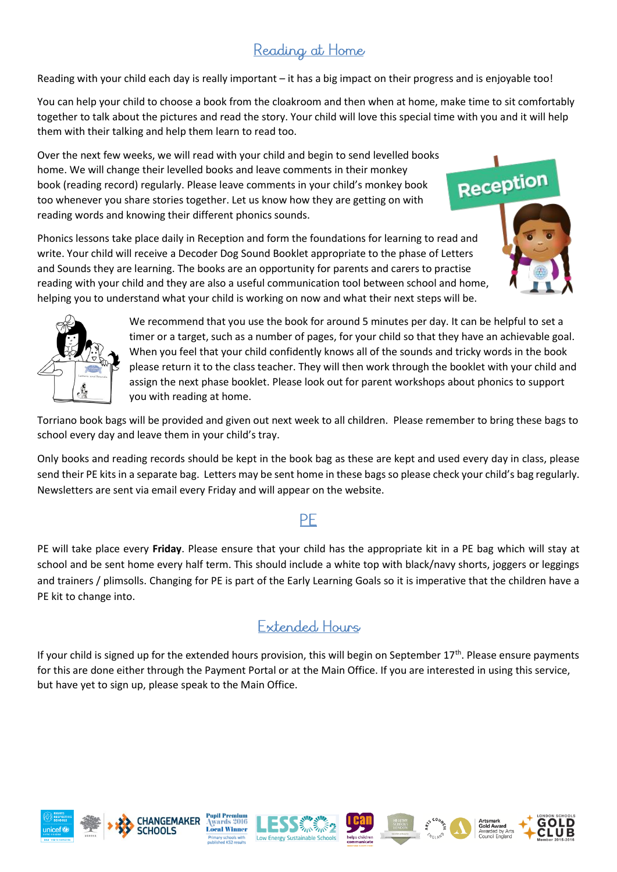# Reading at Home

Reading with your child each day is really important – it has a big impact on their progress and is enjoyable too!

You can help your child to choose a book from the cloakroom and then when at home, make time to sit comfortably together to talk about the pictures and read the story. Your child will love this special time with you and it will help them with their talking and help them learn to read too.

Over the next few weeks, we will read with your child and begin to send levelled books home. We will change their levelled books and leave comments in their monkey book (reading record) regularly. Please leave comments in your child's monkey book too whenever you share stories together. Let us know how they are getting on with reading words and knowing their different phonics sounds.



Phonics lessons take place daily in Reception and form the foundations for learning to read and write. Your child will receive a Decoder Dog Sound Booklet appropriate to the phase of Letters and Sounds they are learning. The books are an opportunity for parents and carers to practise reading with your child and they are also a useful communication tool between scho[ol and home,](http://www.torrianojun.camden.sch.uk/year-groups/reception)  helping you to understand what your child is working on now and what their next steps will be.

We recommend that you use the book for around 5 minutes per day. It can be helpful to set a timer or a target, such as a number of pages, for your child so that they have an achievable goal. When you feel that your child confidently knows all of the sounds and tricky words in the book please return it to the class teacher. They will then work through the booklet with your child and assign the next phase booklet. Please look out for parent workshops about phonics to support you with reading at home.

Torriano book bags will be provided and given out next week to all children. Please remember to bring these bags to school every day and leave them in your child's tray.

Only books and reading records should be kept in the book bag as these are kept and used every day in class, please send their PE kits in a separate bag. Letters may be sent home in these bags so please check your child's bag regularly. Newsletters are sent via email every Friday and will appear on the website.

### PF

PE will take place every **Friday**. Please ensure that your child has the appropriate kit in a PE bag which will stay at school and be sent home every half term. This should include a white top with black/navy shorts, joggers or leggings and trainers / plimsolls. Changing for PE is part of the Early Learning Goals so it is imperative that the children have a PE kit to change into.

## Extended, Hours

If your child is signed up for the extended hours provision, this will begin on September  $17<sup>th</sup>$ . Please ensure payments for this are done either through the Payment Portal or at the Main Office. If you are interested in using this service, but have yet to sign up, please speak to the Main Office.